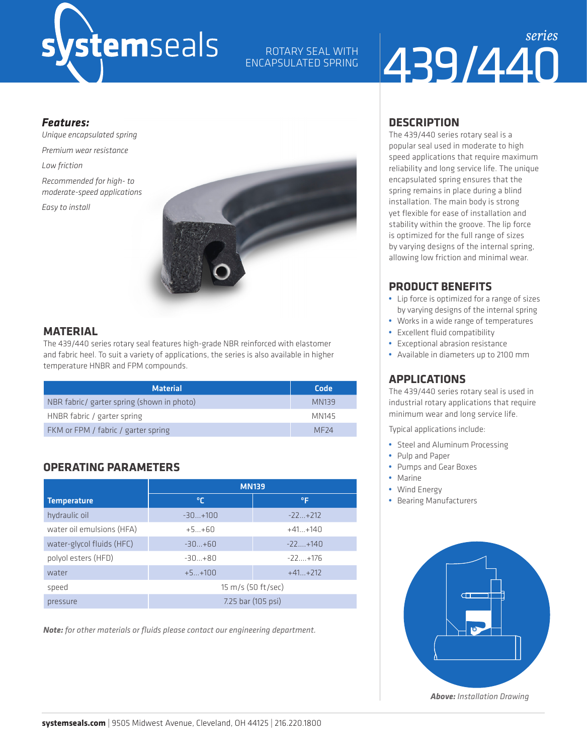# *ystemseals*

ROTARY SEAL WITH ENCAPSULATED SPRING

## 439/440 *series*

#### *Features:*

*Unique encapsulated spring Premium wear resistance Low friction Recommended for high- to moderate-speed applications Easy to install* 



#### **MATERIAL**

The 439/440 series rotary seal features high-grade NBR reinforced with elastomer and fabric heel. To suit a variety of applications, the series is also available in higher temperature HNBR and FPM compounds.

| <b>Material</b>                            | Code             |
|--------------------------------------------|------------------|
| NBR fabric/ garter spring (shown in photo) | MN139            |
| HNBR fabric / garter spring                | MN145            |
| FKM or FPM / fabric / garter spring        | MF <sub>74</sub> |

#### **OPERATING PARAMETERS**

|                           | <b>MN139</b>       |             |  |  |  |
|---------------------------|--------------------|-------------|--|--|--|
| <b>Temperature</b>        | ℃                  | °F          |  |  |  |
| hydraulic oil             | $-30+100$          | $-22+212$   |  |  |  |
| water oil emulsions (HFA) | $+5+60$            | $+41+140$   |  |  |  |
| water-glycol fluids (HFC) | $-30+60$           | $-22+140$   |  |  |  |
| polyol esters (HFD)       | $-30+80$           | $-22 + 176$ |  |  |  |
| water                     | $+5+100$           | $+41+212$   |  |  |  |
| speed                     | 15 m/s (50 ft/sec) |             |  |  |  |
| pressure                  | 7.25 bar (105 psi) |             |  |  |  |

*Note: for other materials or fluids please contact our engineering department.*

#### **DESCRIPTION**

The 439/440 series rotary seal is a popular seal used in moderate to high speed applications that require maximum reliability and long service life. The unique encapsulated spring ensures that the spring remains in place during a blind installation. The main body is strong yet flexible for ease of installation and stability within the groove. The lip force is optimized for the full range of sizes by varying designs of the internal spring, allowing low friction and minimal wear.

#### **PRODUCT BENEFITS**

- **•** Lip force is optimized for a range of sizes by varying designs of the internal spring
- **•** Works in a wide range of temperatures
- **•** Excellent fluid compatibility
- **•** Exceptional abrasion resistance
- **•** Available in diameters up to 2100 mm

#### **APPLICATIONS**

The 439/440 series rotary seal is used in industrial rotary applications that require minimum wear and long service life.

Typical applications include:

- **•** Steel and Aluminum Processing
- **•** Pulp and Paper
- **•** Pumps and Gear Boxes
- **•** Marine
- **•** Wind Energy
- **•** Bearing Manufacturers



*Above: Installation Drawing*